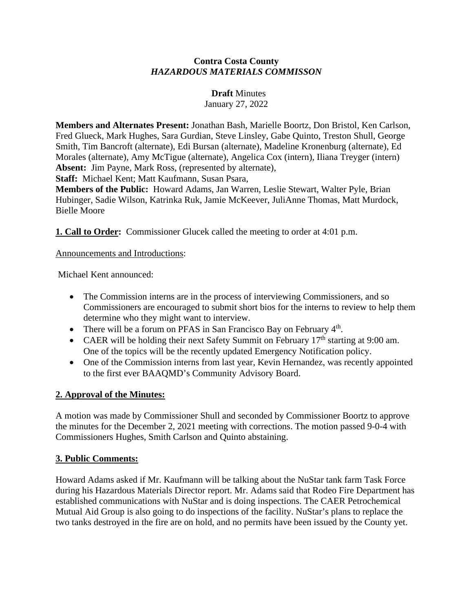## **Contra Costa County**  *HAZARDOUS MATERIALS COMMISSON*

## **Draft** Minutes

January 27, 2022

**Members and Alternates Present:** Jonathan Bash, Marielle Boortz, Don Bristol, Ken Carlson, Fred Glueck, Mark Hughes, Sara Gurdian, Steve Linsley, Gabe Quinto, Treston Shull, George Smith, Tim Bancroft (alternate), Edi Bursan (alternate), Madeline Kronenburg (alternate), Ed Morales (alternate), Amy McTigue (alternate), Angelica Cox (intern), Iliana Treyger (intern) **Absent:** Jim Payne, Mark Ross, (represented by alternate),

**Staff:** Michael Kent; Matt Kaufmann, Susan Psara,

**Members of the Public:** Howard Adams, Jan Warren, Leslie Stewart, Walter Pyle, Brian Hubinger, Sadie Wilson, Katrinka Ruk, Jamie McKeever, JuliAnne Thomas, Matt Murdock, Bielle Moore

**1. Call to Order:** Commissioner Glucek called the meeting to order at 4:01 p.m.

## Announcements and Introductions:

Michael Kent announced:

- The Commission interns are in the process of interviewing Commissioners, and so Commissioners are encouraged to submit short bios for the interns to review to help them determine who they might want to interview.
- There will be a forum on PFAS in San Francisco Bay on February  $4<sup>th</sup>$ .
- CAER will be holding their next Safety Summit on February  $17<sup>th</sup>$  starting at 9:00 am. One of the topics will be the recently updated Emergency Notification policy.
- One of the Commission interns from last year, Kevin Hernandez, was recently appointed to the first ever BAAQMD's Community Advisory Board.

# **2. Approval of the Minutes:**

A motion was made by Commissioner Shull and seconded by Commissioner Boortz to approve the minutes for the December 2, 2021 meeting with corrections. The motion passed 9-0-4 with Commissioners Hughes, Smith Carlson and Quinto abstaining.

## **3. Public Comments:**

Howard Adams asked if Mr. Kaufmann will be talking about the NuStar tank farm Task Force during his Hazardous Materials Director report. Mr. Adams said that Rodeo Fire Department has established communications with NuStar and is doing inspections. The CAER Petrochemical Mutual Aid Group is also going to do inspections of the facility. NuStar's plans to replace the two tanks destroyed in the fire are on hold, and no permits have been issued by the County yet.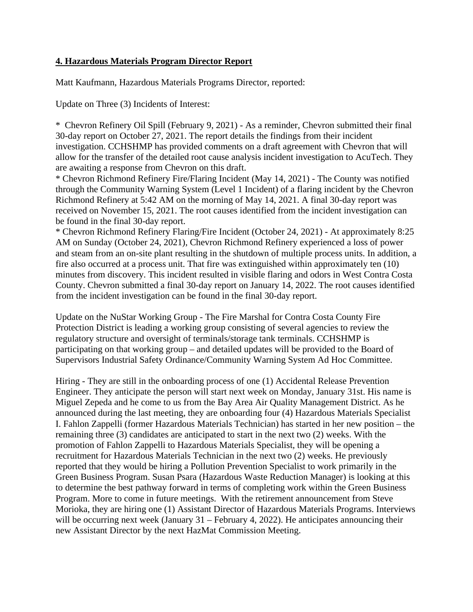### **4. Hazardous Materials Program Director Report**

Matt Kaufmann, Hazardous Materials Programs Director, reported:

Update on Three (3) Incidents of Interest:

\* Chevron Refinery Oil Spill (February 9, 2021) - As a reminder, Chevron submitted their final 30-day report on October 27, 2021. The report details the findings from their incident investigation. CCHSHMP has provided comments on a draft agreement with Chevron that will allow for the transfer of the detailed root cause analysis incident investigation to AcuTech. They are awaiting a response from Chevron on this draft.

\* Chevron Richmond Refinery Fire/Flaring Incident (May 14, 2021) - The County was notified through the Community Warning System (Level 1 Incident) of a flaring incident by the Chevron Richmond Refinery at 5:42 AM on the morning of May 14, 2021. A final 30-day report was received on November 15, 2021. The root causes identified from the incident investigation can be found in the final 30-day report.

\* Chevron Richmond Refinery Flaring/Fire Incident (October 24, 2021) - At approximately 8:25 AM on Sunday (October 24, 2021), Chevron Richmond Refinery experienced a loss of power and steam from an on-site plant resulting in the shutdown of multiple process units. In addition, a fire also occurred at a process unit. That fire was extinguished within approximately ten (10) minutes from discovery. This incident resulted in visible flaring and odors in West Contra Costa County. Chevron submitted a final 30-day report on January 14, 2022. The root causes identified from the incident investigation can be found in the final 30-day report.

Update on the NuStar Working Group - The Fire Marshal for Contra Costa County Fire Protection District is leading a working group consisting of several agencies to review the regulatory structure and oversight of terminals/storage tank terminals. CCHSHMP is participating on that working group – and detailed updates will be provided to the Board of Supervisors Industrial Safety Ordinance/Community Warning System Ad Hoc Committee.

Hiring - They are still in the onboarding process of one (1) Accidental Release Prevention Engineer. They anticipate the person will start next week on Monday, January 31st. His name is Miguel Zepeda and he come to us from the Bay Area Air Quality Management District. As he announced during the last meeting, they are onboarding four (4) Hazardous Materials Specialist I. Fahlon Zappelli (former Hazardous Materials Technician) has started in her new position – the remaining three (3) candidates are anticipated to start in the next two (2) weeks. With the promotion of Fahlon Zappelli to Hazardous Materials Specialist, they will be opening a recruitment for Hazardous Materials Technician in the next two (2) weeks. He previously reported that they would be hiring a Pollution Prevention Specialist to work primarily in the Green Business Program. Susan Psara (Hazardous Waste Reduction Manager) is looking at this to determine the best pathway forward in terms of completing work within the Green Business Program. More to come in future meetings. With the retirement announcement from Steve Morioka, they are hiring one (1) Assistant Director of Hazardous Materials Programs. Interviews will be occurring next week (January 31 – February 4, 2022). He anticipates announcing their new Assistant Director by the next HazMat Commission Meeting.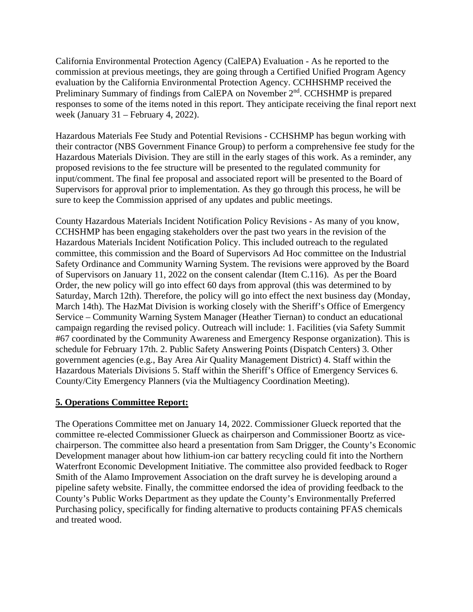California Environmental Protection Agency (CalEPA) Evaluation - As he reported to the commission at previous meetings, they are going through a Certified Unified Program Agency evaluation by the California Environmental Protection Agency. CCHHSHMP received the Preliminary Summary of findings from CalEPA on November 2<sup>nd</sup>. CCHSHMP is prepared responses to some of the items noted in this report. They anticipate receiving the final report next week (January 31 – February 4, 2022).

Hazardous Materials Fee Study and Potential Revisions - CCHSHMP has begun working with their contractor (NBS Government Finance Group) to perform a comprehensive fee study for the Hazardous Materials Division. They are still in the early stages of this work. As a reminder, any proposed revisions to the fee structure will be presented to the regulated community for input/comment. The final fee proposal and associated report will be presented to the Board of Supervisors for approval prior to implementation. As they go through this process, he will be sure to keep the Commission apprised of any updates and public meetings.

County Hazardous Materials Incident Notification Policy Revisions - As many of you know, CCHSHMP has been engaging stakeholders over the past two years in the revision of the Hazardous Materials Incident Notification Policy. This included outreach to the regulated committee, this commission and the Board of Supervisors Ad Hoc committee on the Industrial Safety Ordinance and Community Warning System. The revisions were approved by the Board of Supervisors on January 11, 2022 on the consent calendar (Item C.116). As per the Board Order, the new policy will go into effect 60 days from approval (this was determined to by Saturday, March 12th). Therefore, the policy will go into effect the next business day (Monday, March 14th). The HazMat Division is working closely with the Sheriff's Office of Emergency Service – Community Warning System Manager (Heather Tiernan) to conduct an educational campaign regarding the revised policy. Outreach will include: 1. Facilities (via Safety Summit #67 coordinated by the Community Awareness and Emergency Response organization). This is schedule for February 17th. 2. Public Safety Answering Points (Dispatch Centers) 3. Other government agencies (e.g., Bay Area Air Quality Management District) 4. Staff within the Hazardous Materials Divisions 5. Staff within the Sheriff's Office of Emergency Services 6. County/City Emergency Planners (via the Multiagency Coordination Meeting).

#### **5. Operations Committee Report:**

The Operations Committee met on January 14, 2022. Commissioner Glueck reported that the committee re-elected Commissioner Glueck as chairperson and Commissioner Boortz as vicechairperson. The committee also heard a presentation from Sam Drigger, the County's Economic Development manager about how lithium-ion car battery recycling could fit into the Northern Waterfront Economic Development Initiative. The committee also provided feedback to Roger Smith of the Alamo Improvement Association on the draft survey he is developing around a pipeline safety website. Finally, the committee endorsed the idea of providing feedback to the County's Public Works Department as they update the County's Environmentally Preferred Purchasing policy, specifically for finding alternative to products containing PFAS chemicals and treated wood.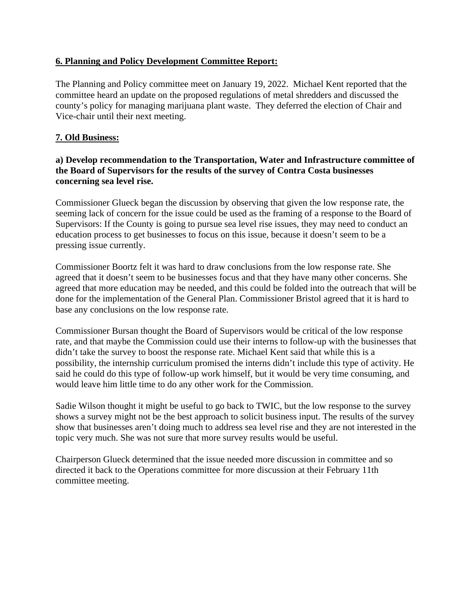## **6. Planning and Policy Development Committee Report:**

The Planning and Policy committee meet on January 19, 2022. Michael Kent reported that the committee heard an update on the proposed regulations of metal shredders and discussed the county's policy for managing marijuana plant waste. They deferred the election of Chair and Vice-chair until their next meeting.

### **7. Old Business:**

## **a) Develop recommendation to the Transportation, Water and Infrastructure committee of the Board of Supervisors for the results of the survey of Contra Costa businesses concerning sea level rise.**

Commissioner Glueck began the discussion by observing that given the low response rate, the seeming lack of concern for the issue could be used as the framing of a response to the Board of Supervisors: If the County is going to pursue sea level rise issues, they may need to conduct an education process to get businesses to focus on this issue, because it doesn't seem to be a pressing issue currently.

Commissioner Boortz felt it was hard to draw conclusions from the low response rate. She agreed that it doesn't seem to be businesses focus and that they have many other concerns. She agreed that more education may be needed, and this could be folded into the outreach that will be done for the implementation of the General Plan. Commissioner Bristol agreed that it is hard to base any conclusions on the low response rate.

Commissioner Bursan thought the Board of Supervisors would be critical of the low response rate, and that maybe the Commission could use their interns to follow-up with the businesses that didn't take the survey to boost the response rate. Michael Kent said that while this is a possibility, the internship curriculum promised the interns didn't include this type of activity. He said he could do this type of follow-up work himself, but it would be very time consuming, and would leave him little time to do any other work for the Commission.

Sadie Wilson thought it might be useful to go back to TWIC, but the low response to the survey shows a survey might not be the best approach to solicit business input. The results of the survey show that businesses aren't doing much to address sea level rise and they are not interested in the topic very much. She was not sure that more survey results would be useful.

Chairperson Glueck determined that the issue needed more discussion in committee and so directed it back to the Operations committee for more discussion at their February 11th committee meeting.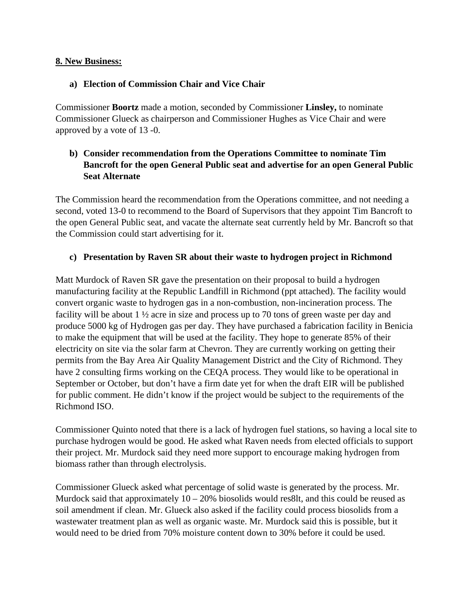### **8. New Business:**

### **a) Election of Commission Chair and Vice Chair**

Commissioner **Boortz** made a motion, seconded by Commissioner **Linsley,** to nominate Commissioner Glueck as chairperson and Commissioner Hughes as Vice Chair and were approved by a vote of 13 -0.

# **b) Consider recommendation from the Operations Committee to nominate Tim Bancroft for the open General Public seat and advertise for an open General Public Seat Alternate**

The Commission heard the recommendation from the Operations committee, and not needing a second, voted 13-0 to recommend to the Board of Supervisors that they appoint Tim Bancroft to the open General Public seat, and vacate the alternate seat currently held by Mr. Bancroft so that the Commission could start advertising for it.

### **c) Presentation by Raven SR about their waste to hydrogen project in Richmond**

Matt Murdock of Raven SR gave the presentation on their proposal to build a hydrogen manufacturing facility at the Republic Landfill in Richmond (ppt attached). The facility would convert organic waste to hydrogen gas in a non-combustion, non-incineration process. The facility will be about 1  $\frac{1}{2}$  acre in size and process up to 70 tons of green waste per day and produce 5000 kg of Hydrogen gas per day. They have purchased a fabrication facility in Benicia to make the equipment that will be used at the facility. They hope to generate 85% of their electricity on site via the solar farm at Chevron. They are currently working on getting their permits from the Bay Area Air Quality Management District and the City of Richmond. They have 2 consulting firms working on the CEQA process. They would like to be operational in September or October, but don't have a firm date yet for when the draft EIR will be published for public comment. He didn't know if the project would be subject to the requirements of the Richmond ISO.

Commissioner Quinto noted that there is a lack of hydrogen fuel stations, so having a local site to purchase hydrogen would be good. He asked what Raven needs from elected officials to support their project. Mr. Murdock said they need more support to encourage making hydrogen from biomass rather than through electrolysis.

Commissioner Glueck asked what percentage of solid waste is generated by the process. Mr. Murdock said that approximately  $10 - 20\%$  biosolids would res8lt, and this could be reused as soil amendment if clean. Mr. Glueck also asked if the facility could process biosolids from a wastewater treatment plan as well as organic waste. Mr. Murdock said this is possible, but it would need to be dried from 70% moisture content down to 30% before it could be used.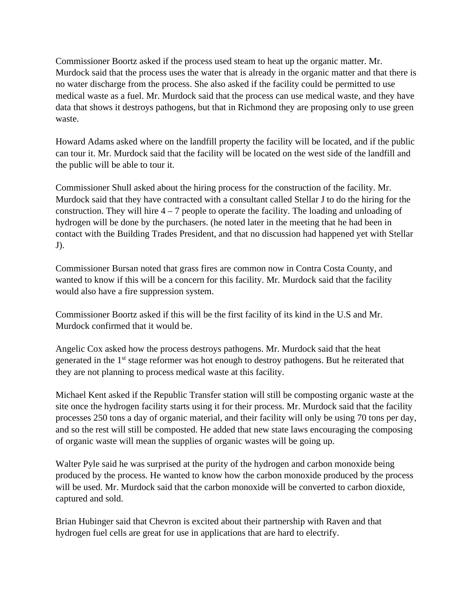Commissioner Boortz asked if the process used steam to heat up the organic matter. Mr. Murdock said that the process uses the water that is already in the organic matter and that there is no water discharge from the process. She also asked if the facility could be permitted to use medical waste as a fuel. Mr. Murdock said that the process can use medical waste, and they have data that shows it destroys pathogens, but that in Richmond they are proposing only to use green waste.

Howard Adams asked where on the landfill property the facility will be located, and if the public can tour it. Mr. Murdock said that the facility will be located on the west side of the landfill and the public will be able to tour it.

Commissioner Shull asked about the hiring process for the construction of the facility. Mr. Murdock said that they have contracted with a consultant called Stellar J to do the hiring for the construction. They will hire  $4 - 7$  people to operate the facility. The loading and unloading of hydrogen will be done by the purchasers. (he noted later in the meeting that he had been in contact with the Building Trades President, and that no discussion had happened yet with Stellar J).

Commissioner Bursan noted that grass fires are common now in Contra Costa County, and wanted to know if this will be a concern for this facility. Mr. Murdock said that the facility would also have a fire suppression system.

Commissioner Boortz asked if this will be the first facility of its kind in the U.S and Mr. Murdock confirmed that it would be.

Angelic Cox asked how the process destroys pathogens. Mr. Murdock said that the heat generated in the 1<sup>st</sup> stage reformer was hot enough to destroy pathogens. But he reiterated that they are not planning to process medical waste at this facility.

Michael Kent asked if the Republic Transfer station will still be composting organic waste at the site once the hydrogen facility starts using it for their process. Mr. Murdock said that the facility processes 250 tons a day of organic material, and their facility will only be using 70 tons per day, and so the rest will still be composted. He added that new state laws encouraging the composing of organic waste will mean the supplies of organic wastes will be going up.

Walter Pyle said he was surprised at the purity of the hydrogen and carbon monoxide being produced by the process. He wanted to know how the carbon monoxide produced by the process will be used. Mr. Murdock said that the carbon monoxide will be converted to carbon dioxide, captured and sold.

Brian Hubinger said that Chevron is excited about their partnership with Raven and that hydrogen fuel cells are great for use in applications that are hard to electrify.